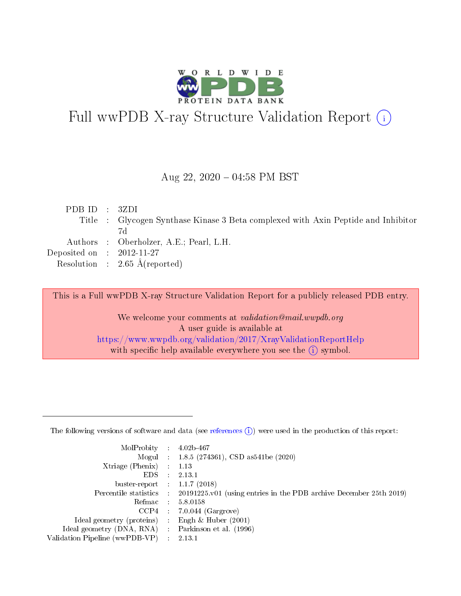

# Full wwPDB X-ray Structure Validation Report (i)

#### Aug 22,  $2020 - 04:58$  PM BST

| PDBID : 3ZDI                |                                                                                   |
|-----------------------------|-----------------------------------------------------------------------------------|
|                             | Title : Glycogen Synthase Kinase 3 Beta complexed with Axin Peptide and Inhibitor |
|                             | 7d                                                                                |
|                             | Authors : Oberholzer, A.E.; Pearl, L.H.                                           |
| Deposited on : $2012-11-27$ |                                                                                   |
|                             | Resolution : $2.65 \text{ Å}$ (reported)                                          |
|                             |                                                                                   |

This is a Full wwPDB X-ray Structure Validation Report for a publicly released PDB entry.

We welcome your comments at validation@mail.wwpdb.org A user guide is available at <https://www.wwpdb.org/validation/2017/XrayValidationReportHelp> with specific help available everywhere you see the  $(i)$  symbol.

The following versions of software and data (see [references](https://www.wwpdb.org/validation/2017/XrayValidationReportHelp#references)  $(1)$ ) were used in the production of this report:

| MolProbity :                   | $4.02b - 467$                                                               |
|--------------------------------|-----------------------------------------------------------------------------|
|                                | Mogul : 1.8.5 (274361), CSD as 541be (2020)                                 |
| $X$ triage (Phenix) :          | 1.13                                                                        |
| EDS.                           | 2.13.1                                                                      |
| buster-report : $1.1.7$ (2018) |                                                                             |
| Percentile statistics :        | $20191225 \text{v}01$ (using entries in the PDB archive December 25th 2019) |
| Refmac :                       | 5.8.0158                                                                    |
| CCP4                           | $7.0.044$ (Gargrove)                                                        |
| Ideal geometry (proteins) :    | Engh $\&$ Huber (2001)                                                      |
| Ideal geometry (DNA, RNA) :    | Parkinson et al. (1996)                                                     |
| Validation Pipeline (wwPDB-VP) | 2.13.1                                                                      |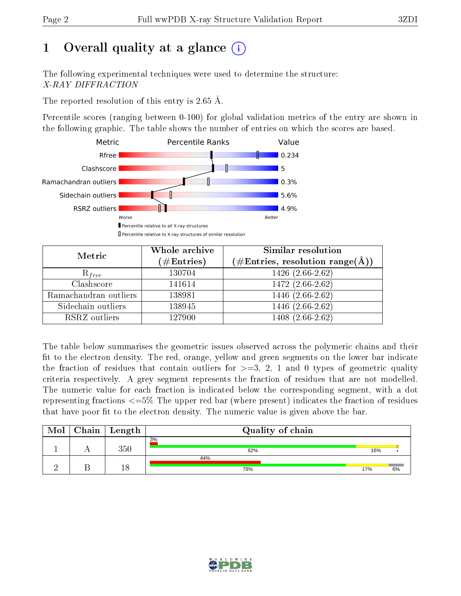# 1 [O](https://www.wwpdb.org/validation/2017/XrayValidationReportHelp#overall_quality)verall quality at a glance  $(i)$

The following experimental techniques were used to determine the structure: X-RAY DIFFRACTION

The reported resolution of this entry is 2.65 Å.

Percentile scores (ranging between 0-100) for global validation metrics of the entry are shown in the following graphic. The table shows the number of entries on which the scores are based.



| Metric                | Whole archive<br>$(\#\text{Entries})$ | Similar resolution<br>$(\#\text{Entries},\,\text{resolution}\,\,\text{range}(\textup{\AA}))$ |
|-----------------------|---------------------------------------|----------------------------------------------------------------------------------------------|
| $R_{free}$            | 130704                                | 1426 (2.66-2.62)                                                                             |
| Clashscore            | 141614                                | 1472 (2.66-2.62)                                                                             |
| Ramachandran outliers | 138981                                | $1446(2.66-2.62)$                                                                            |
| Sidechain outliers    | 138945                                | 1446 (2.66-2.62)                                                                             |
| RSRZ outliers         | 127900                                | 1408 (2.66-2.62)                                                                             |

The table below summarises the geometric issues observed across the polymeric chains and their fit to the electron density. The red, orange, yellow and green segments on the lower bar indicate the fraction of residues that contain outliers for  $>=3, 2, 1$  and 0 types of geometric quality criteria respectively. A grey segment represents the fraction of residues that are not modelled. The numeric value for each fraction is indicated below the corresponding segment, with a dot representing fractions  $\epsilon=5\%$  The upper red bar (where present) indicates the fraction of residues that have poor fit to the electron density. The numeric value is given above the bar.

| Mol | $\mid$ Chain $\mid$ Length $\mid$ | Quality of chain |     |    |
|-----|-----------------------------------|------------------|-----|----|
|     | 350                               | 3%<br>82%        | 16% |    |
|     | 18                                | 44%<br>78%       | 17% | 6% |

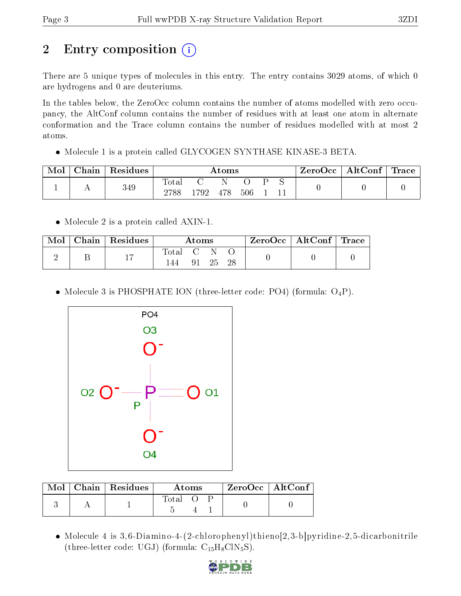# 2 Entry composition  $\left( \cdot \right)$

There are 5 unique types of molecules in this entry. The entry contains 3029 atoms, of which 0 are hydrogens and 0 are deuteriums.

In the tables below, the ZeroOcc column contains the number of atoms modelled with zero occupancy, the AltConf column contains the number of residues with at least one atom in alternate conformation and the Trace column contains the number of residues modelled with at most 2 atoms.

• Molecule 1 is a protein called GLYCOGEN SYNTHASE KINASE-3 BETA.

| $\cap$ hain | Residues | $\rm\bf Atoms$ |      |     |     | ZeroOcc | AltConf $\vert$ | $\mid$ Trace $\mid$ |  |  |
|-------------|----------|----------------|------|-----|-----|---------|-----------------|---------------------|--|--|
| . .         | 349      | Total<br>2788  | 1792 | 478 | 506 |         |                 |                     |  |  |

• Molecule 2 is a protein called AXIN-1.

| Mol | Chain   Residues | Atoms                                                           |  |       |  | ZeroOcc   AltConf   Trace |  |
|-----|------------------|-----------------------------------------------------------------|--|-------|--|---------------------------|--|
|     | 117              | $\begin{bmatrix} \text{Total} & \text{C} \end{bmatrix}$<br>144. |  | 91 25 |  |                           |  |

• Molecule 3 is PHOSPHATE ION (three-letter code: PO4) (formula:  $O_4P$ ).



|  | $Mol$   Chain   Residues | <b>Atoms</b> |  | $ZeroOcc \mid AltConf \mid$ |
|--|--------------------------|--------------|--|-----------------------------|
|  |                          | <b>Total</b> |  |                             |

 Molecule 4 is 3,6-Diamino-4-(2-chlorophenyl)thieno[2,3-b]pyridine-2,5-dicarbonitrile (three-letter code: UGJ) (formula:  $C_{15}H_8CIN_5S$ ).

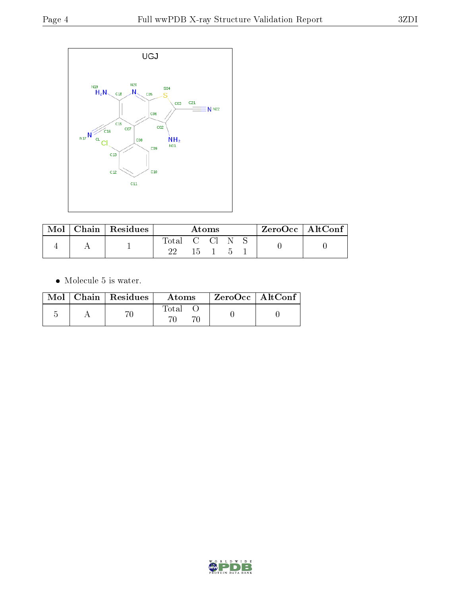

| Mol | Chain   Residues | Atoms           |  |  | $ZeroOcc \mid AltConf \mid$ |  |  |
|-----|------------------|-----------------|--|--|-----------------------------|--|--|
|     |                  | Total C Cl<br>ഹ |  |  |                             |  |  |

 $\bullet\,$  Molecule 5 is water.

|  | $Mol$   Chain   Residues | Atoms | ZeroOcc   AltConf |
|--|--------------------------|-------|-------------------|
|  |                          | Total |                   |

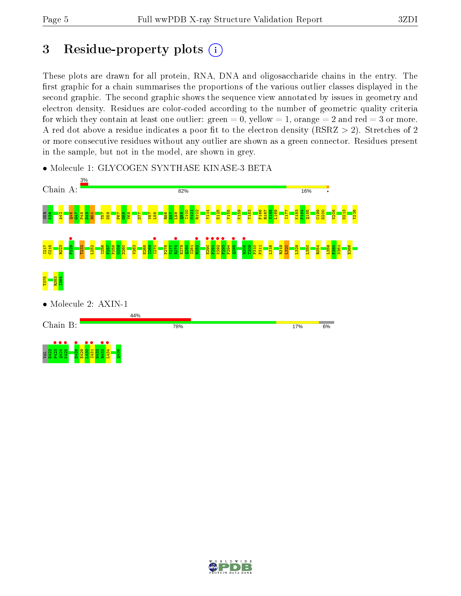E429

H432

Q438

# 3 Residue-property plots  $(i)$

These plots are drawn for all protein, RNA, DNA and oligosaccharide chains in the entry. The first graphic for a chain summarises the proportions of the various outlier classes displayed in the second graphic. The second graphic shows the sequence view annotated by issues in geometry and electron density. Residues are color-coded according to the number of geometric quality criteria for which they contain at least one outlier: green  $= 0$ , yellow  $= 1$ , orange  $= 2$  and red  $= 3$  or more. A red dot above a residue indicates a poor fit to the electron density ( $RSRZ > 2$ ). Stretches of 2 or more consecutive residues without any outlier are shown as a green connector. Residues present in the sample, but not in the model, are shown in grey.



• Molecule 1: GLYCOGEN SYNTHASE KINASE-3 BETA

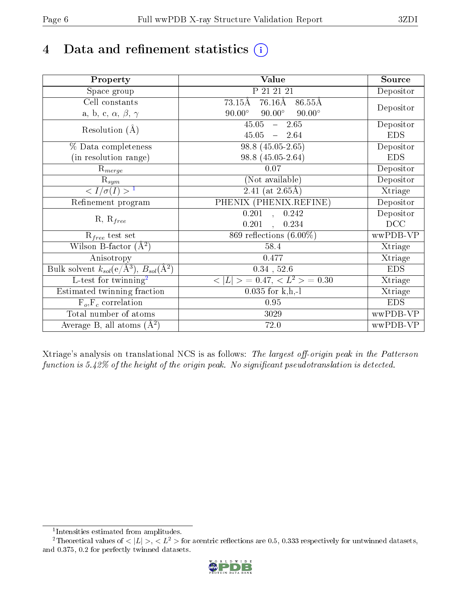# 4 Data and refinement statistics  $(i)$

| Property                                                             | Value                                            | Source     |
|----------------------------------------------------------------------|--------------------------------------------------|------------|
| Space group                                                          | P 21 21 21                                       | Depositor  |
| Cell constants                                                       | $76.16\text{\AA}$<br>$73.15\text{\AA}$<br>86.55Å | Depositor  |
| a, b, c, $\alpha$ , $\beta$ , $\gamma$                               | $90.00^\circ$<br>$90.00^\circ$<br>$90.00^\circ$  |            |
| Resolution $(A)$                                                     | 45.05<br>$-2.65$                                 | Depositor  |
|                                                                      | 45.05<br>$-2.64$                                 | <b>EDS</b> |
| % Data completeness                                                  | 98.8 (45.05-2.65)                                | Depositor  |
| (in resolution range)                                                | 98.8 (45.05-2.64)                                | <b>EDS</b> |
| $R_{merge}$                                                          | 0.07                                             | Depositor  |
| $\mathrm{R}_{sym}$                                                   | (Not available)                                  | Depositor  |
| $\sqrt{I/\sigma(I)} > 1$                                             | $\overline{2.41}$ (at $2.65\text{\AA})$          | Xtriage    |
| Refinement program                                                   | PHENIX (PHENIX.REFINE)                           | Depositor  |
| $R, R_{free}$                                                        | 0.242<br>$\overline{0.201}$ ,                    | Depositor  |
|                                                                      | 0.201<br>0.234<br>$\ddot{\phantom{a}}$           | DCC        |
| $\mathcal{R}_{free}$ test set                                        | 869 reflections $(6.00\%)$                       | wwPDB-VP   |
| Wilson B-factor $(A^2)$                                              | 58.4                                             | Xtriage    |
| Anisotropy                                                           | 0.477                                            | Xtriage    |
| Bulk solvent $k_{sol}(e/\mathring{A}^3)$ , $B_{sol}(\mathring{A}^2)$ | $0.34$ , 52.6                                    | <b>EDS</b> |
| L-test for twinning <sup>2</sup>                                     | $< L >$ = 0.47, $< L2 >$ = 0.30                  | Xtriage    |
| Estimated twinning fraction                                          | $0.035$ for k,h,-l                               | Xtriage    |
| $F_o, F_c$ correlation                                               | 0.95                                             | <b>EDS</b> |
| Total number of atoms                                                | 3029                                             | wwPDB-VP   |
| Average B, all atoms $(A^2)$                                         | 72.0                                             | wwPDB-VP   |

Xtriage's analysis on translational NCS is as follows: The largest off-origin peak in the Patterson function is  $5.42\%$  of the height of the origin peak. No significant pseudotranslation is detected.

<sup>&</sup>lt;sup>2</sup>Theoretical values of  $\langle |L| \rangle$ ,  $\langle L^2 \rangle$  for acentric reflections are 0.5, 0.333 respectively for untwinned datasets, and 0.375, 0.2 for perfectly twinned datasets.



<span id="page-5-1"></span><span id="page-5-0"></span><sup>1</sup> Intensities estimated from amplitudes.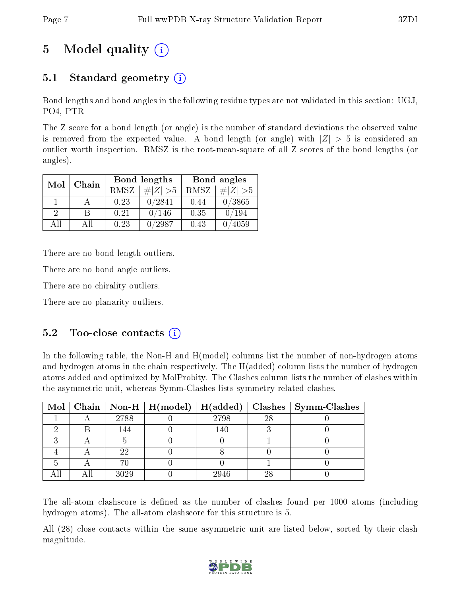# 5 Model quality  $(i)$

## 5.1 Standard geometry  $(i)$

Bond lengths and bond angles in the following residue types are not validated in this section: UGJ, PO4, PTR

The Z score for a bond length (or angle) is the number of standard deviations the observed value is removed from the expected value. A bond length (or angle) with  $|Z| > 5$  is considered an outlier worth inspection. RMSZ is the root-mean-square of all Z scores of the bond lengths (or angles).

| Mol           | Chain |      | Bond lengths | Bond angles |             |  |
|---------------|-------|------|--------------|-------------|-------------|--|
|               |       | RMSZ | $\# Z  > 5$  | RMSZ        | $\# Z  > 5$ |  |
|               |       | 0.23 | 0/2841       | 0.44        | 0/3865      |  |
| $\mathcal{D}$ |       | 0.21 | 0/146        | 0.35        | 0/194       |  |
| ΔH            | A II  | 0.23 | /2987        | 0.43        | 4059        |  |

There are no bond length outliers.

There are no bond angle outliers.

There are no chirality outliers.

There are no planarity outliers.

### $5.2$  Too-close contacts  $(i)$

In the following table, the Non-H and H(model) columns list the number of non-hydrogen atoms and hydrogen atoms in the chain respectively. The H(added) column lists the number of hydrogen atoms added and optimized by MolProbity. The Clashes column lists the number of clashes within the asymmetric unit, whereas Symm-Clashes lists symmetry related clashes.

|  |      |      |    | Mol   Chain   Non-H   H(model)   H(added)   Clashes   Symm-Clashes |
|--|------|------|----|--------------------------------------------------------------------|
|  | 2788 | 2798 | 28 |                                                                    |
|  | 144  | 140  |    |                                                                    |
|  |      |      |    |                                                                    |
|  | 22   |      |    |                                                                    |
|  |      |      |    |                                                                    |
|  | 3029 | 2946 | 28 |                                                                    |

The all-atom clashscore is defined as the number of clashes found per 1000 atoms (including hydrogen atoms). The all-atom clashscore for this structure is 5.

All (28) close contacts within the same asymmetric unit are listed below, sorted by their clash magnitude.

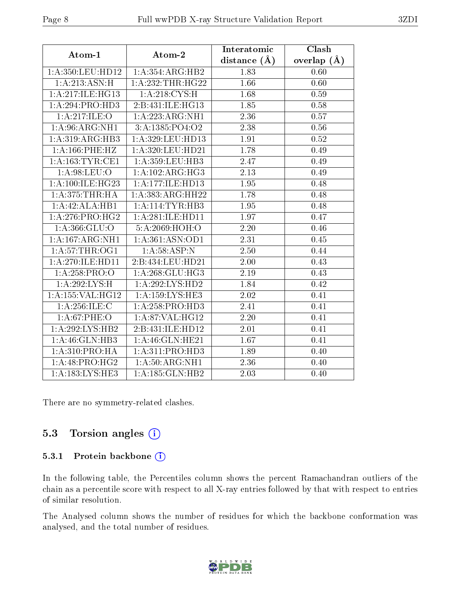| Atom-1              | Atom-2              | Interatomic    | Clash           |  |
|---------------------|---------------------|----------------|-----------------|--|
|                     |                     | distance $(A)$ | overlap $(\AA)$ |  |
| 1:A:350:LEU:HD12    | 1:A:354:ARG:HB2     | 1.83           | 0.60            |  |
| 1: A: 213: ASN:H    | 1:A:232:THR:HG22    | 1.66           | 0.60            |  |
| 1:A:217:ILE:HG13    | 1: A:218:CYS:H      | 1.68           | 0.59            |  |
| 1:A:294:PRO:HD3     | 2:B:431:ILE:HG13    | 1.85           | 0.58            |  |
| 1:A:217:ILE:O       | 1:A:223:ARG:NH1     | 2.36           | 0.57            |  |
| 1: A:96: ARG: NH1   | 3: A: 1385: PO4: O2 | 2.38           | 0.56            |  |
| 1:A:319:ARG:HB3     | 1:A:329:LEU:HD13    | 1.91           | 0.52            |  |
| 1: A: 166: PHE: HZ  | 1:A:320:LEU:HD21    | 1.78           | 0.49            |  |
| 1: A: 163: TYR: CE1 | 1: A: 359: LEU: HB3 | 2.47           | 0.49            |  |
| 1: A:98:LEU:O       | 1:A:102:ARG:HG3     | 2.13           | 0.49            |  |
| 1: A:100: ILE: HG23 | 1:A:177:ILE:HD13    | 1.95           | 0.48            |  |
| 1: A:375:THR:HA     | 1:A:383:ARG:HH22    | 1.78           | 0.48            |  |
| 1:A:42:ALA:HB1      | 1:A:114:TYR:HB3     | 1.95           | 0.48            |  |
| 1:A:276:PRO:HG2     | 1:A:281:ILE:HD11    | 1.97           | 0.47            |  |
| 1:A:366:GLU:O       | 5:A:2069:HOH:O      | 2.20           | 0.46            |  |
| 1:A:167:ARG:NH1     | 1:A:361:ASN:OD1     | 2.31           | 0.45            |  |
| 1: A:57:THR:OG1     | 1: A:58:ASP:N       | 2.50           | 0.44            |  |
| 1:A:270:ILE:HD11    | 2:B:434:LEU:HD21    | 2.00           | 0.43            |  |
| 1:A:258:PRO:O       | 1: A:268: GLU:HG3   | 2.19           | 0.43            |  |
| 1:A:292:LYS:H       | 1:A:292:LYS:HD2     | 1.84           | 0.42            |  |
| 1:A:155:VAL:HG12    | 1: A: 159: LYS: HE3 | 2.02           | 0.41            |  |
| 1:A:256:ILE:C       | 1:A:258:PRO:HD3     | 2.41           | 0.41            |  |
| 1: A:67:PHE:O       | 1: A:87: VAL:HG12   | 2.20           | 0.41            |  |
| 1:A:292:LYS:HB2     | 2:B:431:ILE:HD12    | 2.01           | 0.41            |  |
| 1:A:46:GLN:HB3      | 1:A:46:GLN:HE21     | 1.67           | 0.41            |  |
| 1: A:310: PRO:HA    | 1:A:311:PRO:HD3     | 1.89           | 0.40            |  |
| 1: A:48: PRO:HG2    | 1: A:50: ARG: NH1   | 2.36           | 0.40            |  |
| 1:A:183:LYS:HE3     | 1: A: 185: GLN: HB2 | 2.03           | 0.40            |  |

There are no symmetry-related clashes.

### 5.3 Torsion angles (i)

#### 5.3.1 Protein backbone (i)

In the following table, the Percentiles column shows the percent Ramachandran outliers of the chain as a percentile score with respect to all X-ray entries followed by that with respect to entries of similar resolution.

The Analysed column shows the number of residues for which the backbone conformation was analysed, and the total number of residues.

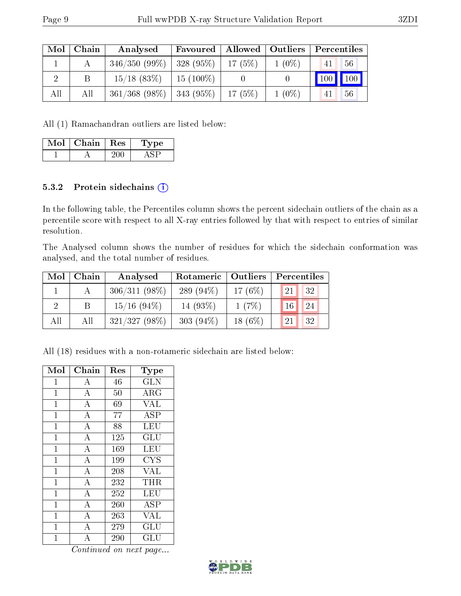| Mol | Chain | Analysed                     | Favoured   Allowed   Outliers |           |          | Percentiles |                 |
|-----|-------|------------------------------|-------------------------------|-----------|----------|-------------|-----------------|
|     |       | $346/350(99\%)$   328 (95\%) |                               | $-17(5%)$ | $1(0\%)$ | 41          | 56              |
|     | В     | $15/18$ (83\%)               | $15(100\%)$                   |           |          | $\vert$ 100 | $\parallel$ 100 |
| All | All   | $361/368(98\%)$              | $ 343(95\%)$                  | 17(5%)    | $1(0\%)$ |             | 56              |

All (1) Ramachandran outliers are listed below:

| Mol | $\mid$ Chain $\mid$ Res | Type |  |  |
|-----|-------------------------|------|--|--|
|     |                         |      |  |  |

#### 5.3.2 Protein sidechains (i)

In the following table, the Percentiles column shows the percent sidechain outliers of the chain as a percentile score with respect to all X-ray entries followed by that with respect to entries of similar resolution.

The Analysed column shows the number of residues for which the sidechain conformation was analysed, and the total number of residues.

| Mol      | Chain | Analysed        | Rotameric    | Outliers  | Percentiles           |  |  |
|----------|-------|-----------------|--------------|-----------|-----------------------|--|--|
|          |       | $306/311(98\%)$ | 289 $(94\%)$ | 17 $(6%)$ | 32<br>21              |  |  |
| $\Omega$ |       | $15/16$ (94\%)  | 14 (93\%)    | 1(7%)     | 24<br>16 <sup>°</sup> |  |  |
| All      | All   | $321/327(98\%)$ | 303 $(94\%)$ | $18(6\%)$ | 32<br>21              |  |  |

All (18) residues with a non-rotameric sidechain are listed below:

| Mol            | Chain              | Res | Type                 |
|----------------|--------------------|-----|----------------------|
| $\mathbf 1$    | А                  | 46  | $\rm GL\overline{N}$ |
| $\mathbf 1$    | A                  | 50  | ARG                  |
| $\overline{1}$ | $\overline{A}$     | 69  | <b>VAL</b>           |
| $\mathbf{1}$   | $\overline{\rm A}$ | 77  | <b>ASP</b>           |
| $\mathbf{1}$   | $\bf{A}$           | 88  | LEU                  |
| $\overline{1}$ | $\overline{\rm A}$ | 125 | $\operatorname{GLU}$ |
| $\mathbf{1}$   | $\bf{A}$           | 169 | LEU                  |
| $\mathbf{1}$   | $\overline{\rm A}$ | 199 | <b>CYS</b>           |
| $\mathbf{1}$   | $\overline{\rm A}$ | 208 | <b>VAL</b>           |
| $\mathbf{1}$   | $\bf{A}$           | 232 | THR                  |
| $\mathbf{1}$   | $\overline{\rm A}$ | 252 | LEU                  |
| $\overline{1}$ | $\overline{A}$     | 260 | <b>ASP</b>           |
| $\mathbf 1$    | $\bf{A}$           | 263 | VAL                  |
| 1              | А                  | 279 | $\operatorname{GLU}$ |
| 1              | A                  | 290 | $\operatorname{GLU}$ |

Continued on next page...

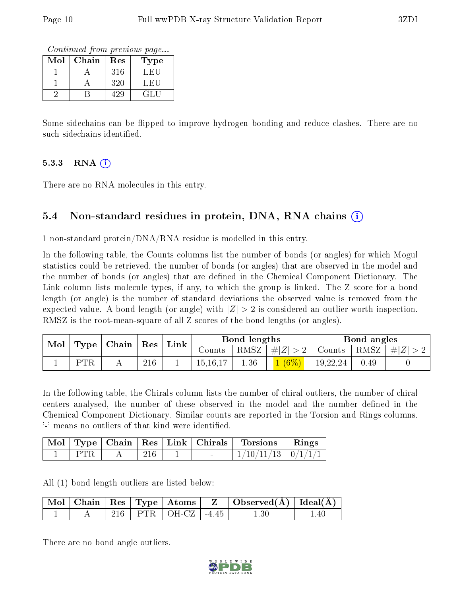Continued from previous page...

| Mol | Chain | Res | Type  |
|-----|-------|-----|-------|
|     |       | 316 | L FIL |
|     |       | 320 | LEU   |
|     |       | .29 | GLU   |

Some sidechains can be flipped to improve hydrogen bonding and reduce clashes. There are no such sidechains identified.

#### 5.3.3 RNA (1)

There are no RNA molecules in this entry.

### 5.4 Non-standard residues in protein, DNA, RNA chains (i)

1 non-standard protein/DNA/RNA residue is modelled in this entry.

In the following table, the Counts columns list the number of bonds (or angles) for which Mogul statistics could be retrieved, the number of bonds (or angles) that are observed in the model and the number of bonds (or angles) that are dened in the Chemical Component Dictionary. The Link column lists molecule types, if any, to which the group is linked. The Z score for a bond length (or angle) is the number of standard deviations the observed value is removed from the expected value. A bond length (or angle) with  $|Z| > 2$  is considered an outlier worth inspection. RMSZ is the root-mean-square of all Z scores of the bond lengths (or angles).

| Mol   Type   Chain   Res |            | $^+$ Link |  | Bond lengths |          |          | Bond angles |      |                                                                   |
|--------------------------|------------|-----------|--|--------------|----------|----------|-------------|------|-------------------------------------------------------------------|
|                          |            |           |  |              |          |          |             |      | Counts   RMSZ $\mid \#  Z  > 2$   Counts   RMSZ $\mid \#  Z  > 2$ |
|                          | <b>PTR</b> | 216       |  | 15, 16, 17   | $1.36\,$ | $1(6\%)$ | 19,22,24    | 0.49 |                                                                   |

In the following table, the Chirals column lists the number of chiral outliers, the number of chiral centers analysed, the number of these observed in the model and the number defined in the Chemical Component Dictionary. Similar counts are reported in the Torsion and Rings columns. '-' means no outliers of that kind were identified.

|     |     |        | Mol   Type   Chain   Res   Link   Chirals   Torsions   Rings |  |
|-----|-----|--------|--------------------------------------------------------------|--|
| PTR | 216 | $\sim$ | $1/10/11/13$ 0/1/1/1                                         |  |

All (1) bond length outliers are listed below:

|  |  |                                      | $\mid$ Mol $\mid$ Chain $\mid$ Res $\mid$ Type $\mid$ Atoms $\mid$ Z $\mid$ Observed(A) $\mid$ Ideal(A) |     |
|--|--|--------------------------------------|---------------------------------------------------------------------------------------------------------|-----|
|  |  | $\mid$ PTR $\mid$ OH-CZ $\mid$ -4.45 | 1.30                                                                                                    | .40 |

There are no bond angle outliers.

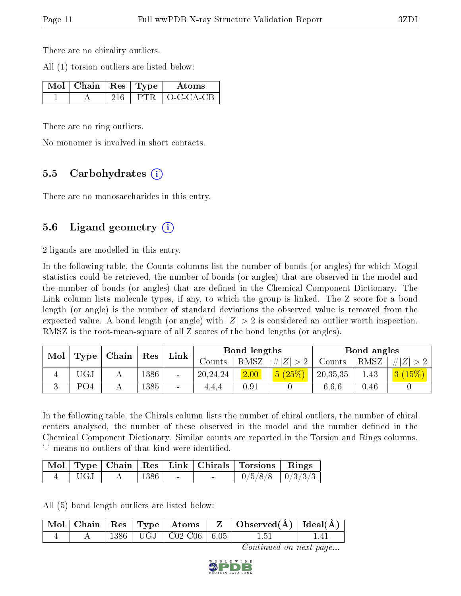There are no chirality outliers.

All (1) torsion outliers are listed below:

| $\sqrt{\text{Mol}}$   Chain   Res   Type ' |      | Atoms     |
|--------------------------------------------|------|-----------|
|                                            | PTR. | O-C-CA-CB |

There are no ring outliers.

No monomer is involved in short contacts.

### 5.5 Carbohydrates  $(i)$

There are no monosaccharides in this entry.

### 5.6 Ligand geometry  $(i)$

2 ligands are modelled in this entry.

In the following table, the Counts columns list the number of bonds (or angles) for which Mogul statistics could be retrieved, the number of bonds (or angles) that are observed in the model and the number of bonds (or angles) that are defined in the Chemical Component Dictionary. The Link column lists molecule types, if any, to which the group is linked. The Z score for a bond length (or angle) is the number of standard deviations the observed value is removed from the expected value. A bond length (or angle) with  $|Z| > 2$  is considered an outlier worth inspection. RMSZ is the root-mean-square of all Z scores of the bond lengths (or angles).

| Mol | Chain |     | Res  | Link                     |          | Bond lengths |                              |          | Bond angles |         |  |
|-----|-------|-----|------|--------------------------|----------|--------------|------------------------------|----------|-------------|---------|--|
|     | Type  |     |      |                          | Jounts   | RMSZ         | # $ Z  > 2$                  | Counts   | RMSZ        | H  Z    |  |
|     | UGJ   | 4 L | 1386 | $\overline{\phantom{0}}$ | 20,24,24 | 2.00         | $^{'}25\%$<br>5 <sup>1</sup> | 20,35,35 | 1.43        | $15\%)$ |  |
|     | PO4   |     | 1385 | $\qquad \qquad$          | 4.4.4    | $0.91\,$     |                              | 6.6.6    | 0.46        |         |  |

In the following table, the Chirals column lists the number of chiral outliers, the number of chiral centers analysed, the number of these observed in the model and the number defined in the Chemical Component Dictionary. Similar counts are reported in the Torsion and Rings columns. '-' means no outliers of that kind were identified.

|            |      |                | Mol   Type   Chain   Res   Link   Chirals   Torsions   Rings |  |
|------------|------|----------------|--------------------------------------------------------------|--|
| <b>UGJ</b> | 1386 | <b>Service</b> | $0/5/8/8$   $0/3/3/3$                                        |  |

All (5) bond length outliers are listed below:

|  |  |                               | $\mid$ Mol $\mid$ Chain $\mid$ Res $\mid$ Type $\mid$ Atoms $\mid$ Z $\mid$ Observed(A) $\mid$ Ideal(A) |  |
|--|--|-------------------------------|---------------------------------------------------------------------------------------------------------|--|
|  |  | $1386$   UGJ   C02-C06   6.05 |                                                                                                         |  |

Continued on next page...

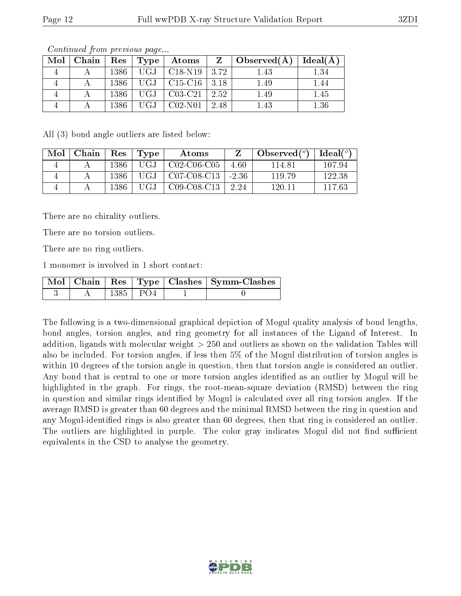| Mol | <u>oo issanaa oo jiro ila jiro soo aa jiray jorra</u> |      | ${\rm Chain \mid Res \mid Type \mid Atoms}$          |      | $Z \mid$ Observed(A) | $\mid$ Ideal( $\rm \AA)$ $\mid$ |
|-----|-------------------------------------------------------|------|------------------------------------------------------|------|----------------------|---------------------------------|
|     |                                                       |      | $1386$ UGJ C18-N19 3.72                              |      | 1.43                 | 1.34                            |
|     |                                                       |      | $1386$   UGJ   C15-C16   3.18                        |      | 1.49                 | 1.44                            |
|     |                                                       |      | $1386$   UGJ   C03-C21   2.52                        |      | 1.49                 | 1.45                            |
|     |                                                       | 1386 | UGJ $\vert$ C <sub>02</sub> -N <sub>01</sub> $\vert$ | 2.48 | 1.43                 | 1.36                            |

Continued from previous page...

All (3) bond angle outliers are listed below:

| Mol | Chain | $\operatorname{Res}% \left( \mathcal{N}\right) \equiv\operatorname{Res}(\mathcal{N}_{0})\cap\mathcal{N}_{1}$ | Type | Atoms         |         | Observed $(^\circ)$ | Ideal( $^o$ ) |
|-----|-------|--------------------------------------------------------------------------------------------------------------|------|---------------|---------|---------------------|---------------|
|     |       | 1386                                                                                                         | UGJ  | $C02-C06-C05$ | 4.60    | 114 81              | 107.94        |
|     |       | 1386                                                                                                         | UGJ. | $C07-C08-C13$ | $-2.36$ | 119.79              | 122.38        |
|     |       | 1386                                                                                                         | UGJ  | $C09-C08-C13$ | 224     | 120-11              | 117.63        |

There are no chirality outliers.

There are no torsion outliers.

There are no ring outliers.

1 monomer is involved in 1 short contact:

|  |      |         | Mol   Chain   Res   Type   Clashes   Symm-Clashes |
|--|------|---------|---------------------------------------------------|
|  | 1385 | $+$ PO4 |                                                   |

The following is a two-dimensional graphical depiction of Mogul quality analysis of bond lengths, bond angles, torsion angles, and ring geometry for all instances of the Ligand of Interest. In addition, ligands with molecular weight > 250 and outliers as shown on the validation Tables will also be included. For torsion angles, if less then 5% of the Mogul distribution of torsion angles is within 10 degrees of the torsion angle in question, then that torsion angle is considered an outlier. Any bond that is central to one or more torsion angles identified as an outlier by Mogul will be highlighted in the graph. For rings, the root-mean-square deviation (RMSD) between the ring in question and similar rings identified by Mogul is calculated over all ring torsion angles. If the average RMSD is greater than 60 degrees and the minimal RMSD between the ring in question and any Mogul-identified rings is also greater than 60 degrees, then that ring is considered an outlier. The outliers are highlighted in purple. The color gray indicates Mogul did not find sufficient equivalents in the CSD to analyse the geometry.

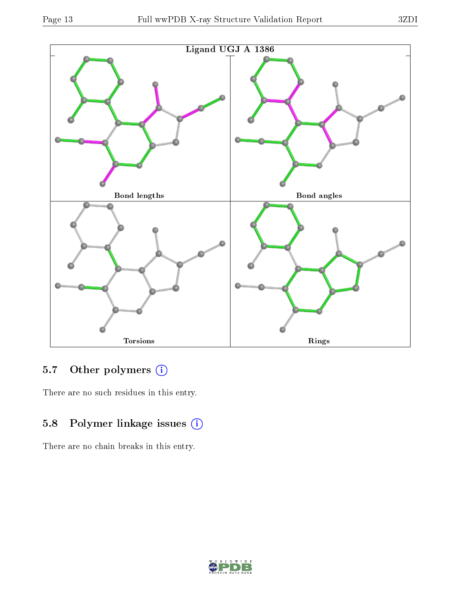

## 5.7 [O](https://www.wwpdb.org/validation/2017/XrayValidationReportHelp#nonstandard_residues_and_ligands)ther polymers (i)

There are no such residues in this entry.

## 5.8 Polymer linkage issues (i)

There are no chain breaks in this entry.

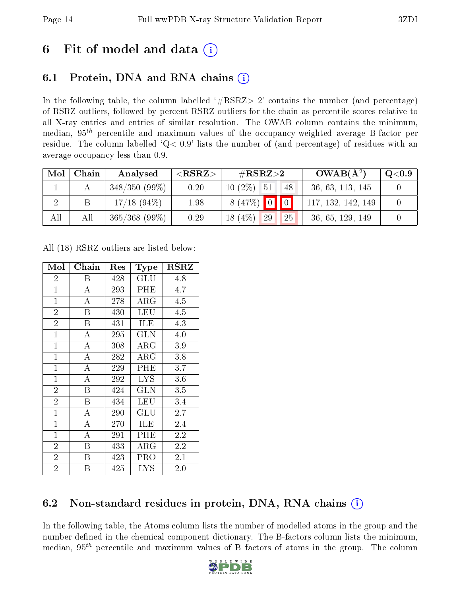## 6 Fit of model and data  $\left( \frac{1}{2} \right)$

## 6.1 Protein, DNA and RNA chains (i)

In the following table, the column labelled  $#RSRZ>2'$  contains the number (and percentage) of RSRZ outliers, followed by percent RSRZ outliers for the chain as percentile scores relative to all X-ray entries and entries of similar resolution. The OWAB column contains the minimum, median,  $95<sup>th</sup>$  percentile and maximum values of the occupancy-weighted average B-factor per residue. The column labelled ' $Q< 0.9$ ' lists the number of (and percentage) of residues with an average occupancy less than 0.9.

| $\bf{Mol}$     | Chain | Analysed        | ${ <\hspace{-1.5pt}{\mathrm{RSRZ}} \hspace{-1.5pt}>}$ | $\#\text{RSRZ}\text{>2}$            | $OWAB(A^2)$        | Q <sub>0.9</sub> |
|----------------|-------|-----------------|-------------------------------------------------------|-------------------------------------|--------------------|------------------|
|                |       | $348/350(99\%)$ | 0.20                                                  | $10(2\%)$<br>51<br>48               | 36, 63, 113, 145   |                  |
| $\overline{2}$ |       | $17/18$ (94\%)  | 1.98                                                  | $8(47%)$ 0 0                        | 117, 132, 142, 149 |                  |
| All            | All   | $365/368$ (99%) | 0.29                                                  | (4%)<br>29<br>25<br>18 <sub>1</sub> | 36, 65, 129, 149   |                  |

All (18) RSRZ outliers are listed below:

| Mol            | Chain | Res | Type        | $_{\rm RSRZ}$ |
|----------------|-------|-----|-------------|---------------|
| $\overline{2}$ | В     | 428 | GLU         | 4.8           |
| $\mathbf{1}$   | A     | 293 | PHE         | 4.7           |
| $\mathbf{1}$   | А     | 278 | $\rm{ARG}$  | 4.5           |
| $\overline{2}$ | B     | 430 | LEU         | 4.5           |
| $\overline{2}$ | B     | 431 | ILE         | 4.3           |
| $\mathbf 1$    | A     | 295 | GLN         | 4.0           |
| $\mathbf{1}$   | А     | 308 | ARG         | 3.9           |
| $\mathbf 1$    | A     | 282 | ARG         | 3.8           |
| $\mathbf 1$    | А     | 229 | PHE         | 3.7           |
| $\mathbf{1}$   | A     | 292 | <b>LYS</b>  | 3.6           |
| $\overline{2}$ | B     | 424 | GLN         | 3.5           |
| $\overline{2}$ | B     | 434 | LEU         | 3.4           |
| $\mathbf{1}$   | A     | 290 | GLU         | 2.7           |
| $\mathbf{1}$   | А     | 270 | ILE         | 2.4           |
| $\mathbf{1}$   | A     | 291 | PHE         | 2.2           |
| $\overline{2}$ | B     | 433 | ${\rm ARG}$ | 2.2           |
| $\overline{2}$ | Β     | 423 | PRO         | 2.1           |
| $\overline{2}$ | В     | 425 | <b>LYS</b>  | $2.0\,$       |

### 6.2 Non-standard residues in protein, DNA, RNA chains (i)

In the following table, the Atoms column lists the number of modelled atoms in the group and the number defined in the chemical component dictionary. The B-factors column lists the minimum, median,  $95<sup>th</sup>$  percentile and maximum values of B factors of atoms in the group. The column

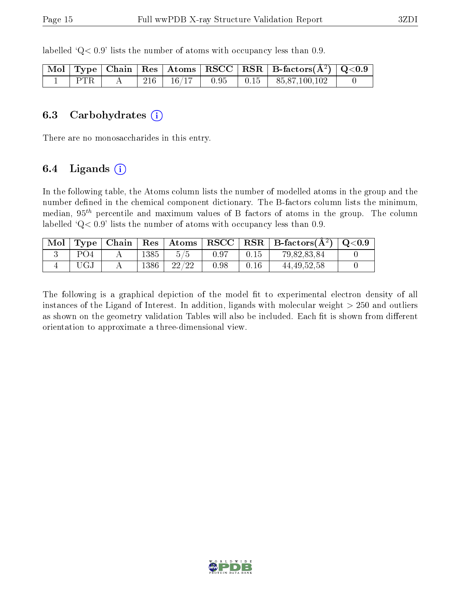|     |  |  | $\begin{array}{ c c c c c c }\hline \text{Mol} & \text{Type} & \text{Chain} & \text{Res} & \text{Atoms} & \text{RSCC} & \text{RSR} & \text{B-factors}(\AA^2) & \text{Q<0.9} \\\hline \end{array}$ |  |
|-----|--|--|---------------------------------------------------------------------------------------------------------------------------------------------------------------------------------------------------|--|
| PTR |  |  | $\rm{A}$   216   16/17   0.95   0.15   85,87,100,102                                                                                                                                              |  |

#### 6.3 Carbohydrates  $(i)$

There are no monosaccharides in this entry.

#### 6.4 Ligands  $(i)$

In the following table, the Atoms column lists the number of modelled atoms in the group and the number defined in the chemical component dictionary. The B-factors column lists the minimum, median,  $95<sup>th</sup>$  percentile and maximum values of B factors of atoms in the group. The column labelled  $Q < 0.9$ ' lists the number of atoms with occupancy less than 0.9.

| Mol |     | Type   Chain |      | Res   Atoms |      |      | $\perp {\rm RSCC} \mid {\rm RSR} \mid {\rm B-factors}(\rm{\AA}^2) \mid$ | $\mid \text{Q} < 0.9$ |
|-----|-----|--------------|------|-------------|------|------|-------------------------------------------------------------------------|-----------------------|
|     | PO4 |              | 1385 |             | 0.97 |      | 79,82,83,84                                                             |                       |
|     | UGJ |              | 1386 | 22/22       | 0.98 | 0.16 | 44, 49, 52, 58                                                          |                       |

The following is a graphical depiction of the model fit to experimental electron density of all instances of the Ligand of Interest. In addition, ligands with molecular weight  $> 250$  and outliers as shown on the geometry validation Tables will also be included. Each fit is shown from different orientation to approximate a three-dimensional view.